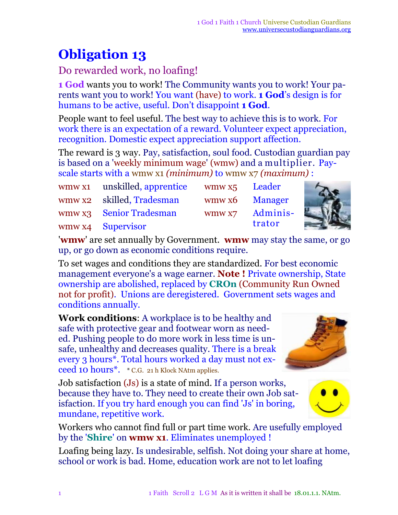## **Obligation 13**

## Do rewarded work, no loafing!

**1 God** wants you to work! The Community wants you to work! Your parents want you to work! You want (have) to work. **1 God**'s design is for humans to be active, useful. Don't disappoint **1 God**.

People want to feel useful. The best way to achieve this is to work. For work there is an expectation of a reward. Volunteer expect appreciation, recognition. Domestic expect appreciation support affection.

The reward is 3 way. Pay, satisfaction, soul food. Custodian guardian pay is based on a 'weekly minimum wage' (wmw) and a multiplier. Payscale starts with a wmw x1 *(minimum)* to wmw x7 *(maximum)* :

| wmw x1 unskilled, apprentice | wmw x5 Leader |                |
|------------------------------|---------------|----------------|
| wmw x2 skilled, Tradesman    |               | wmw x6 Manager |
| wmw x3 Senior Tradesman      | WMW X7        | Adminis-       |
| wmw x4 Supervisor            |               | trator         |

'**wmw**' are set annually by Government. **wmw** may stay the same, or go up, or go down as economic conditions require.

To set wages and conditions they are standardized. For best economic management everyone's a wage earner. **Note !** Private ownership, State ownership are abolished, replaced by **CROn** (Community Run Owned not for profit). Unions are deregistered. Government sets wages and conditions annually.

**Work conditions**: A workplace is to be healthy and safe with protective gear and footwear worn as needed. Pushing people to do more work in less time is unsafe, unhealthy and decreases quality. There is a break every 3 hours\*. Total hours worked a day must not exceed 10 hours<sup>\*</sup>. \* C.G. 21 h Klock NAtm applies.

Job satisfaction (Js) is a state of mind. If a person works, because they have to. They need to create their own Job satisfaction. If you try hard enough you can find 'Js' in boring, mundane, repetitive work.

Workers who cannot find full or part time work. Are usefully employed by the '**Shire**' on **wmw x1**. Eliminates unemployed !

Loafing being lazy. Is undesirable, selfish. Not doing your share at home, school or work is bad. Home, education work are not to let loafing